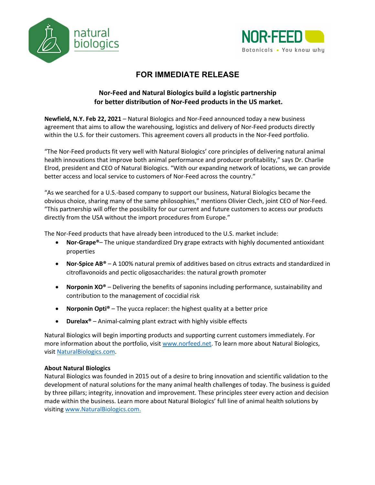



## **FOR IMMEDIATE RELEASE**

## **Nor-Feed and Natural Biologics build a logistic partnership for better distribution of Nor-Feed products in the US market.**

**Newfield, N.Y. Feb 22, 2021** – Natural Biologics and Nor-Feed announced today a new business agreement that aims to allow the warehousing, logistics and delivery of Nor-Feed products directly within the U.S. for their customers. This agreement covers all products in the Nor-Feed portfolio.

"The Nor-Feed products fit very well with Natural Biologics' core principles of delivering natural animal health innovations that improve both animal performance and producer profitability," says Dr. Charlie Elrod, president and CEO of Natural Biologics. "With our expanding network of locations, we can provide better access and local service to customers of Nor-Feed across the country."

"As we searched for a U.S.-based company to support our business, Natural Biologics became the obvious choice, sharing many of the same philosophies," mentions Olivier Clech, joint CEO of Nor-Feed. "This partnership will offer the possibility for our current and future customers to access our products directly from the USA without the import procedures from Europe."

The Nor-Feed products that have already been introduced to the U.S. market include:

- **Nor-Grape®** The unique standardized Dry grape extracts with highly documented antioxidant properties
- **Nor-Spice AB®** A 100% natural premix of additives based on citrus extracts and standardized in citroflavonoids and pectic oligosaccharides: the natural growth promoter
- **Norponin XO®** Delivering the benefits of saponins including performance, sustainability and contribution to the management of coccidial risk
- **Norponin Opti®**  The yucca replacer: the highest quality at a better price
- **Durelax®** Animal-calming plant extract with highly visible effects

Natural Biologics will begin importing products and supporting current customers immediately. For more information about the portfolio, visit www.norfeed.net. To learn more about Natural Biologics, visit NaturalBiologics.com.

## **About Natural Biologics**

Natural Biologics was founded in 2015 out of a desire to bring innovation and scientific validation to the development of natural solutions for the many animal health challenges of today. The business is guided by three pillars; integrity, innovation and improvement. These principles steer every action and decision made within the business. Learn more about Natural Biologics' full line of animal health solutions by visiting www.NaturalBiologics.com.